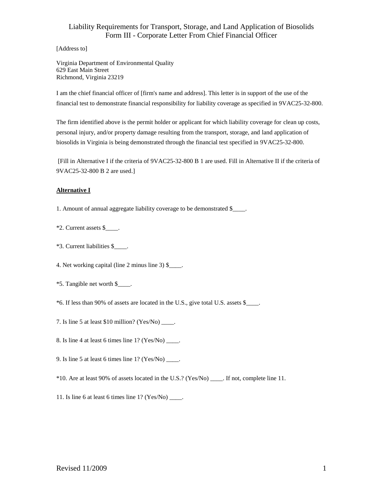## Liability Requirements for Transport, Storage, and Land Application of Biosolids Form III - Corporate Letter From Chief Financial Officer

[Address to]

Virginia Department of Environmental Quality 629 East Main Street Richmond, Virginia 23219

I am the chief financial officer of [firm's name and address]. This letter is in support of the use of the financial test to demonstrate financial responsibility for liability coverage as specified in 9VAC25-32-800.

The firm identified above is the permit holder or applicant for which liability coverage for clean up costs, personal injury, and/or property damage resulting from the transport, storage, and land application of biosolids in Virginia is being demonstrated through the financial test specified in 9VAC25-32-800.

[Fill in Alternative I if the criteria of 9VAC25-32-800 B 1 are used. Fill in Alternative II if the criteria of 9VAC25-32-800 B 2 are used.]

#### **Alternative I**

1. Amount of annual aggregate liability coverage to be demonstrated \$\_\_\_\_.

- \*2. Current assets \$\_\_\_\_.
- \*3. Current liabilities \$\_\_\_\_.

4. Net working capital (line 2 minus line 3) \$.

- \*5. Tangible net worth \$\_\_\_\_.
- \*6. If less than 90% of assets are located in the U.S., give total U.S. assets \$\_\_\_\_.
- 7. Is line 5 at least \$10 million? (Yes/No) \_\_\_\_.
- 8. Is line 4 at least 6 times line 1? (Yes/No) \_\_\_\_.
- 9. Is line 5 at least 6 times line  $1?$  (Yes/No) \_\_\_\_\_.
- \*10. Are at least 90% of assets located in the U.S.? (Yes/No) \_\_\_\_. If not, complete line 11.
- 11. Is line 6 at least 6 times line 1? (Yes/No) \_\_\_\_.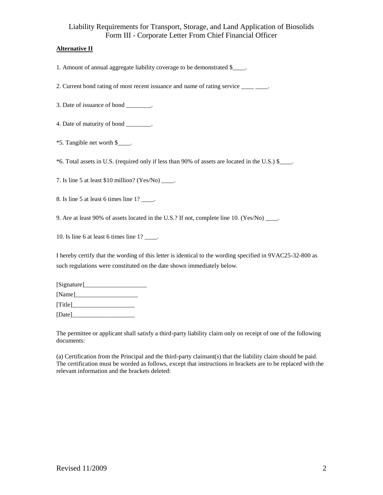## Liability Requirements for Transport, Storage, and Land Application of Biosolids Form III - Corporate Letter From Chief Financial Officer

### **Alternative II**

1. Amount of annual aggregate liability coverage to be demonstrated \$

2. Current bond rating of most recent issuance and name of rating service \_\_\_\_\_\_\_.

3. Date of issuance of bond \_\_\_\_\_\_\_\_.

4. Date of maturity of bond \_\_\_\_\_\_\_.

\*5. Tangible net worth \$\_\_\_\_.

\*6. Total assets in U.S. (required only if less than 90% of assets are located in the U.S.) \$\_\_\_\_.

7. Is line 5 at least  $$10$  million? (Yes/No) \_\_\_\_.

8. Is line 5 at least 6 times line 1? \_\_\_\_.

9. Are at least 90% of assets located in the U.S.? If not, complete line 10. (Yes/No) .

10. Is line 6 at least 6 times line 1? \_\_\_\_.

I hereby certify that the wording of this letter is identical to the wording specified in 9VAC25-32-800 as such regulations were constituted on the date shown immediately below.

| [Signature] |  |
|-------------|--|
| [Name]      |  |
| [Title]     |  |
| [Date]      |  |

The permittee or applicant shall satisfy a third-party liability claim only on receipt of one of the following documents:

(a) Certification from the Principal and the third-party claimant(s) that the liability claim should be paid. The certification must be worded as follows, except that instructions in brackets are to be replaced with the relevant information and the brackets deleted: